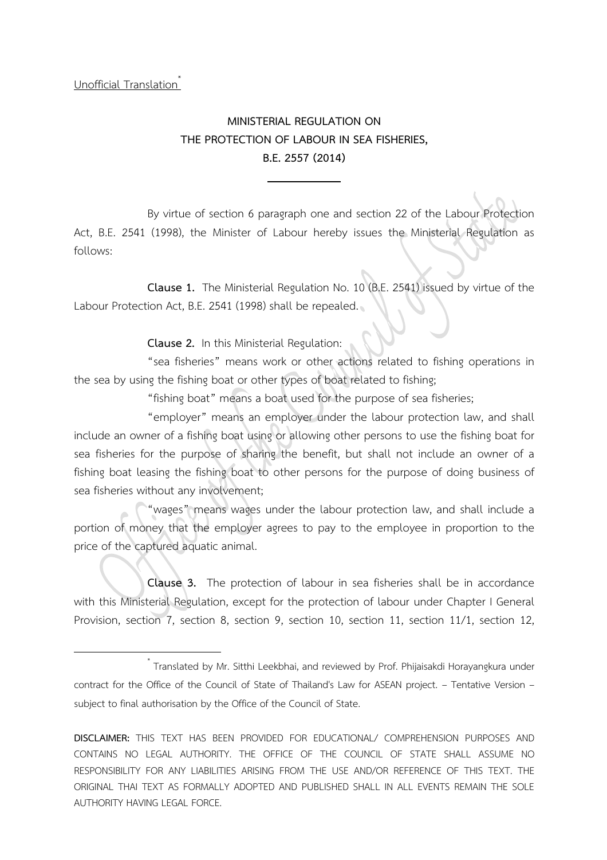Unofficial Translation

## **MINISTERIAL REGULATION ON THE PROTECTION OF LABOUR IN SEA FISHERIES, B.E. 2557 (2014)**

By virtue of section 6 paragraph one and section 22 of the Labour Protection Act, B.E. 2541 (1998), the Minister of Labour hereby issues the Ministerial Regulation as follows:

**Clause 1.** The Ministerial Regulation No. 10 (B.E. 2541) issued by virtue of the Labour Protection Act, B.E. 2541 (1998) shall be repealed.

**Clause 2.** In this Ministerial Regulation:

"sea fisheries" means work or other actions related to fishing operations in the sea by using the fishing boat or other types of boat related to fishing;

"fishing boat" means a boat used for the purpose of sea fisheries;

"employer" means an employer under the labour protection law, and shall include an owner of a fishing boat using or allowing other persons to use the fishing boat for sea fisheries for the purpose of sharing the benefit, but shall not include an owner of a fishing boat leasing the fishing boat to other persons for the purpose of doing business of sea fisheries without any involvement;

"wages" means wages under the labour protection law, and shall include a portion of money that the employer agrees to pay to the employee in proportion to the price of the captured aquatic animal.

**Clause 3.** The protection of labour in sea fisheries shall be in accordance with this Ministerial Regulation, except for the protection of labour under Chapter I General Provision, section 7, section 8, section 9, section 10, section 11, section 11/1, section 12,

\* Translated by Mr. Sitthi Leekbhai, and reviewed by Prof. Phijaisakdi Horayangkura under contract for the Office of the Council of State of Thailand's Law for ASEAN project. – Tentative Version – subject to final authorisation by the Office of the Council of State.

**DISCLAIMER:** THIS TEXT HAS BEEN PROVIDED FOR EDUCATIONAL/ COMPREHENSION PURPOSES AND CONTAINS NO LEGAL AUTHORITY. THE OFFICE OF THE COUNCIL OF STATE SHALL ASSUME NO RESPONSIBILITY FOR ANY LIABILITIES ARISING FROM THE USE AND/OR REFERENCE OF THIS TEXT. THE ORIGINAL THAI TEXT AS FORMALLY ADOPTED AND PUBLISHED SHALL IN ALL EVENTS REMAIN THE SOLE AUTHORITY HAVING LEGAL FORCE.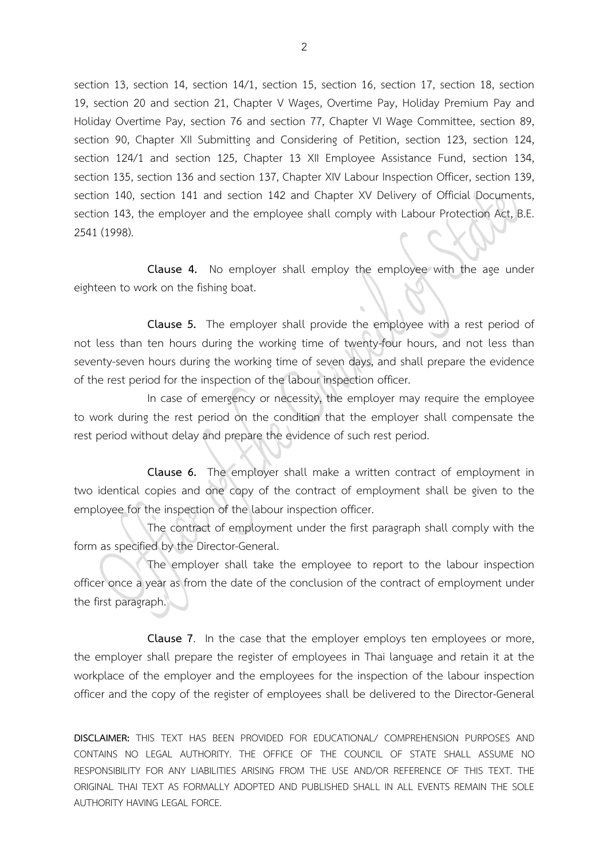section 13, section 14, section 14/1, section 15, section 16, section 17, section 18, section 19, section 20 and section 21, Chapter V Wages, Overtime Pay, Holiday Premium Pay and Holiday Overtime Pay, section 76 and section 77, Chapter VI Wage Committee, section 89, section 90, Chapter XII Submitting and Considering of Petition, section 123, section 124, section 124/1 and section 125, Chapter 13 XII Employee Assistance Fund, section 134, section 135, section 136 and section 137, Chapter XIV Labour Inspection Officer, section 139, section 140, section 141 and section 142 and Chapter XV Delivery of Official Documents, section 143, the employer and the employee shall comply with Labour Protection Act, B.E. 2541 (1998).

**Clause 4.** No employer shall employ the employee with the age under eighteen to work on the fishing boat.

**Clause 5.** The employer shall provide the employee with a rest period of not less than ten hours during the working time of twenty-four hours, and not less than seventy-seven hours during the working time of seven days, and shall prepare the evidence of the rest period for the inspection of the labour inspection officer.

In case of emergency or necessity, the employer may require the employee to work during the rest period on the condition that the employer shall compensate the rest period without delay and prepare the evidence of such rest period.

**Clause 6.** The employer shall make a written contract of employment in two identical copies and one copy of the contract of employment shall be given to the employee for the inspection of the labour inspection officer.

The contract of employment under the first paragraph shall comply with the form as specified by the Director-General.

The employer shall take the employee to report to the labour inspection officer once a year as from the date of the conclusion of the contract of employment under the first paragraph.

**Clause 7**. In the case that the employer employs ten employees or more, the employer shall prepare the register of employees in Thai language and retain it at the workplace of the employer and the employees for the inspection of the labour inspection officer and the copy of the register of employees shall be delivered to the Director-General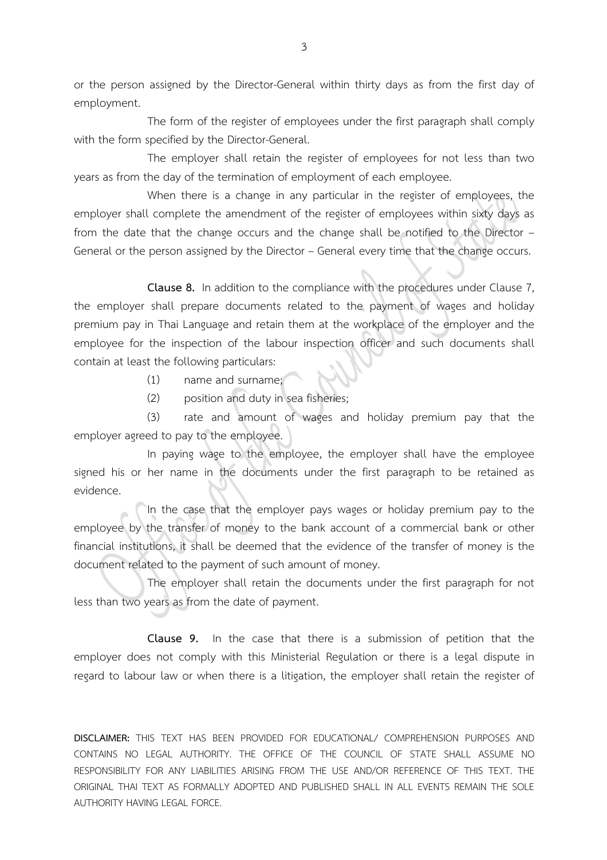or the person assigned by the Director-General within thirty days as from the first day of employment.

The form of the register of employees under the first paragraph shall comply with the form specified by the Director-General.

The employer shall retain the register of employees for not less than two years as from the day of the termination of employment of each employee.

When there is a change in any particular in the register of employees, the employer shall complete the amendment of the register of employees within sixty days as from the date that the change occurs and the change shall be notified to the Director – General or the person assigned by the Director – General every time that the change occurs.

**Clause 8.** In addition to the compliance with the procedures under Clause 7, the employer shall prepare documents related to the payment of wages and holiday premium pay in Thai Language and retain them at the workplace of the employer and the employee for the inspection of the labour inspection officer and such documents shall contain at least the following particulars:

(1) name and surname;

(2) position and duty in sea fisheries;

(3) rate and amount of wages and holiday premium pay that the employer agreed to pay to the employee.

In paying wage to the employee, the employer shall have the employee signed his or her name in the documents under the first paragraph to be retained as evidence.

In the case that the employer pays wages or holiday premium pay to the employee by the transfer of money to the bank account of a commercial bank or other financial institutions, it shall be deemed that the evidence of the transfer of money is the document related to the payment of such amount of money.

 The employer shall retain the documents under the first paragraph for not less than two years as from the date of payment.

**Clause 9.** In the case that there is a submission of petition that the employer does not comply with this Ministerial Regulation or there is a legal dispute in regard to labour law or when there is a litigation, the employer shall retain the register of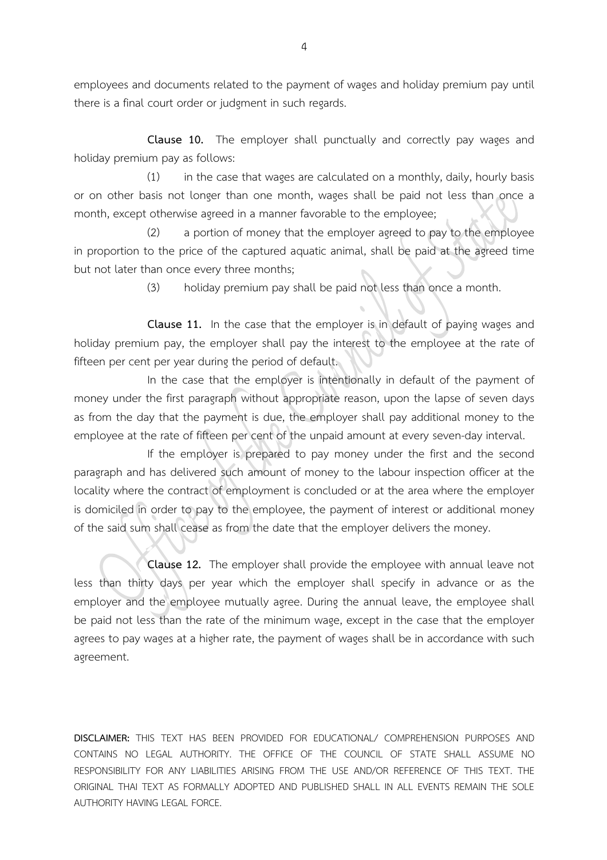employees and documents related to the payment of wages and holiday premium pay until there is a final court order or judgment in such regards.

**Clause 10.** The employer shall punctually and correctly pay wages and holiday premium pay as follows:

(1) in the case that wages are calculated on a monthly, daily, hourly basis or on other basis not longer than one month, wages shall be paid not less than once a month, except otherwise agreed in a manner favorable to the employee;

(2) a portion of money that the employer agreed to pay to the employee in proportion to the price of the captured aquatic animal, shall be paid at the agreed time but not later than once every three months;

(3) holiday premium pay shall be paid not less than once a month.

**Clause 11.** In the case that the employer is in default of paying wages and holiday premium pay, the employer shall pay the interest to the employee at the rate of fifteen per cent per year during the period of default.

In the case that the employer is intentionally in default of the payment of money under the first paragraph without appropriate reason, upon the lapse of seven days as from the day that the payment is due, the employer shall pay additional money to the employee at the rate of fifteen per cent of the unpaid amount at every seven-day interval.

If the employer is prepared to pay money under the first and the second paragraph and has delivered such amount of money to the labour inspection officer at the locality where the contract of employment is concluded or at the area where the employer is domiciled in order to pay to the employee, the payment of interest or additional money of the said sum shall cease as from the date that the employer delivers the money.

**Clause 12.** The employer shall provide the employee with annual leave not less than thirty days per year which the employer shall specify in advance or as the employer and the employee mutually agree. During the annual leave, the employee shall be paid not less than the rate of the minimum wage, except in the case that the employer agrees to pay wages at a higher rate, the payment of wages shall be in accordance with such agreement.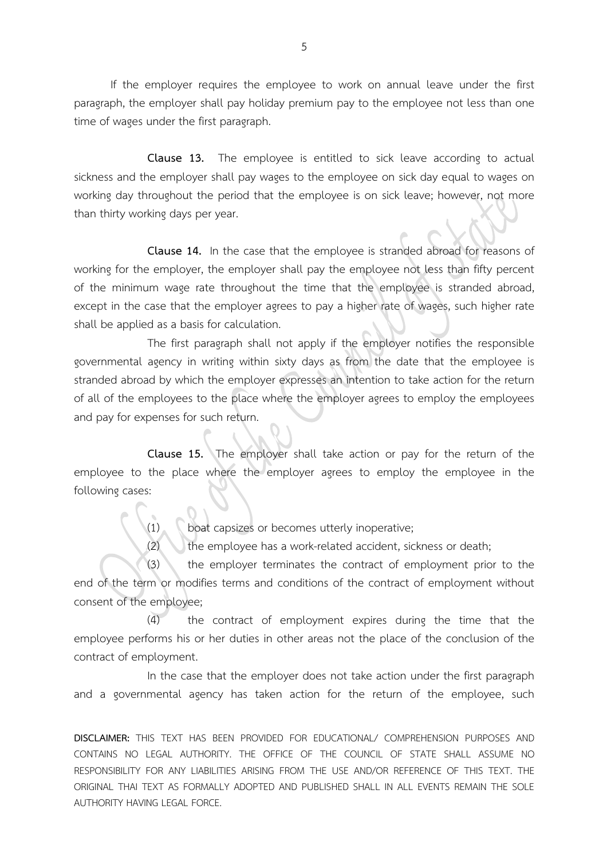If the employer requires the employee to work on annual leave under the first paragraph, the employer shall pay holiday premium pay to the employee not less than one time of wages under the first paragraph.

**Clause 13.** The employee is entitled to sick leave according to actual sickness and the employer shall pay wages to the employee on sick day equal to wages on working day throughout the period that the employee is on sick leave; however, not more than thirty working days per year.

**Clause 14.** In the case that the employee is stranded abroad for reasons of working for the employer, the employer shall pay the employee not less than fifty percent of the minimum wage rate throughout the time that the employee is stranded abroad, except in the case that the employer agrees to pay a higher rate of wages, such higher rate shall be applied as a basis for calculation.

The first paragraph shall not apply if the employer notifies the responsible governmental agency in writing within sixty days as from the date that the employee is stranded abroad by which the employer expresses an intention to take action for the return of all of the employees to the place where the employer agrees to employ the employees and pay for expenses for such return.

**Clause 15.** The employer shall take action or pay for the return of the employee to the place where the employer agrees to employ the employee in the following cases:

(1) boat capsizes or becomes utterly inoperative;

(2) the employee has a work-related accident, sickness or death;

(3) the employer terminates the contract of employment prior to the end of the term or modifies terms and conditions of the contract of employment without consent of the employee;

(4) the contract of employment expires during the time that the employee performs his or her duties in other areas not the place of the conclusion of the contract of employment.

In the case that the employer does not take action under the first paragraph and a governmental agency has taken action for the return of the employee, such